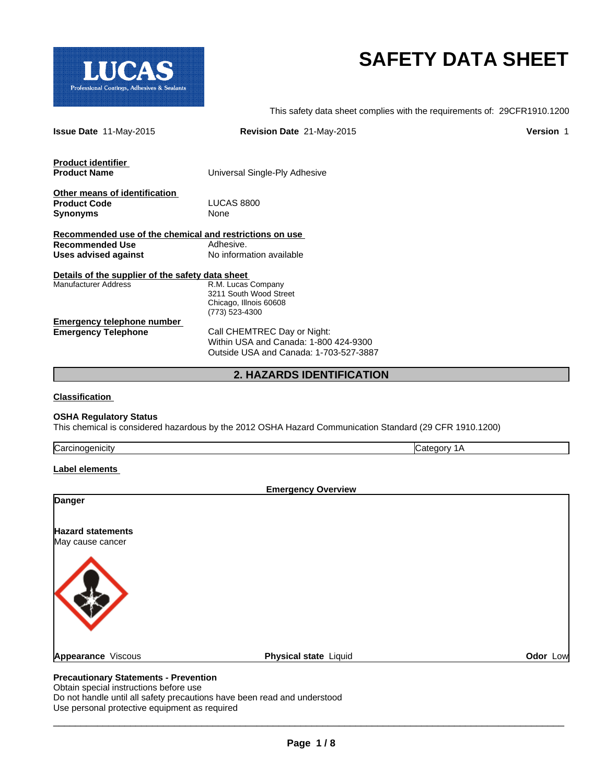

# **SAFETY DATA SHEET**

This safety data sheet complies with the requirements of: 29CFR1910.1200

| <b>Issue Date 11-May-2015</b>                           | Revision Date 21-May-2015              | <b>Version 1</b> |
|---------------------------------------------------------|----------------------------------------|------------------|
| <b>Product identifier</b>                               |                                        |                  |
| <b>Product Name</b>                                     | Universal Single-Ply Adhesive          |                  |
| Other means of identification                           |                                        |                  |
| <b>Product Code</b>                                     | <b>LUCAS 8800</b>                      |                  |
| <b>Synonyms</b>                                         | None                                   |                  |
| Recommended use of the chemical and restrictions on use |                                        |                  |
| <b>Recommended Use</b>                                  | Adhesive.                              |                  |
| Uses advised against                                    | No information available               |                  |
| Details of the supplier of the safety data sheet        |                                        |                  |
| <b>Manufacturer Address</b>                             | R.M. Lucas Company                     |                  |
|                                                         | 3211 South Wood Street                 |                  |
|                                                         | Chicago, Illnois 60608                 |                  |
|                                                         | (773) 523-4300                         |                  |
| <b>Emergency telephone number</b>                       |                                        |                  |
| <b>Emergency Telephone</b>                              | Call CHEMTREC Day or Night:            |                  |
|                                                         | Within USA and Canada: 1-800 424-9300  |                  |
|                                                         | Outside USA and Canada: 1-703-527-3887 |                  |
|                                                         | <b>2. HAZARDS IDENTIFICATION</b>       |                  |

**Classification** 

## **OSHA Regulatory Status**

This chemical is considered hazardous by the 2012 OSHA Hazard Communication Standard (29 CFR 1910.1200)

| Carcinogenicity                              | Category 1A               |
|----------------------------------------------|---------------------------|
| Label elements                               |                           |
|                                              | <b>Emergency Overview</b> |
| Danger                                       |                           |
| <b>Hazard statements</b><br>May cause cancer |                           |
|                                              |                           |
|                                              |                           |

## **Precautionary Statements - Prevention**

Obtain special instructions before use Do not handle until all safety precautions have been read and understood Use personal protective equipment as required

**Appearance** Viscous **Physical state Liquid <b>Physical state Constant Odor Low**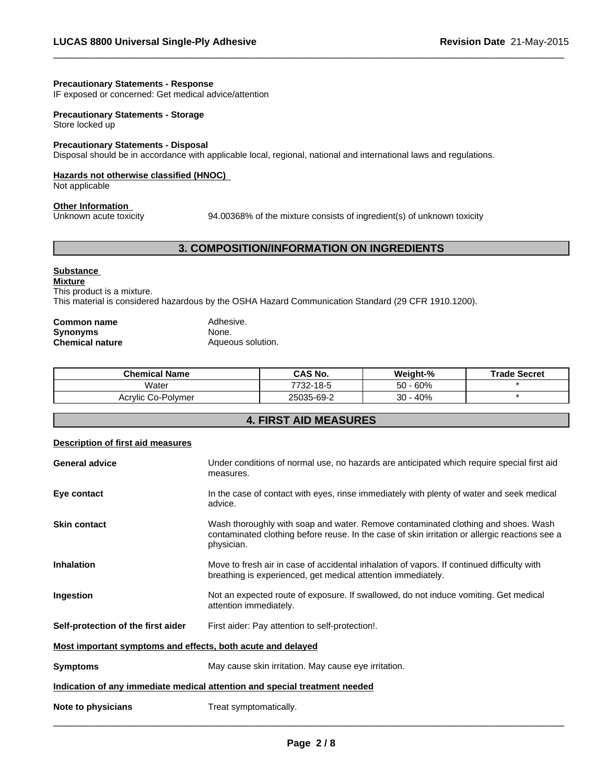## **Precautionary Statements - Response**

IF exposed or concerned: Get medical advice/attention

## **Precautionary Statements - Storage** Store locked up

## **Precautionary Statements - Disposal**

Disposal should be in accordance with applicable local, regional, national and international laws and regulations.

## **Hazards not otherwise classified (HNOC)**

Not applicable

# **Other Information**<br>Unknown acute toxicity

94.00368% of the mixture consists of ingredient(s) of unknown toxicity

 $\overline{\phantom{a}}$  ,  $\overline{\phantom{a}}$  ,  $\overline{\phantom{a}}$  ,  $\overline{\phantom{a}}$  ,  $\overline{\phantom{a}}$  ,  $\overline{\phantom{a}}$  ,  $\overline{\phantom{a}}$  ,  $\overline{\phantom{a}}$  ,  $\overline{\phantom{a}}$  ,  $\overline{\phantom{a}}$  ,  $\overline{\phantom{a}}$  ,  $\overline{\phantom{a}}$  ,  $\overline{\phantom{a}}$  ,  $\overline{\phantom{a}}$  ,  $\overline{\phantom{a}}$  ,  $\overline{\phantom{a}}$ 

## **3. COMPOSITION/INFORMATION ON INGREDIENTS**

## **Substance**

**Mixture** This product is a mixture.

This material is considered hazardous by the OSHA Hazard Communication Standard (29 CFR 1910.1200).

| Common name     | Adhesive.         |
|-----------------|-------------------|
| Synonyms        | None.             |
| Chemical nature | Aqueous solution. |

| Chemical Name      | <b>CAS No.</b> | Weight-%     | <b>Trade Secret</b> |
|--------------------|----------------|--------------|---------------------|
| Water              | 7732-18-5      | $-60%$<br>50 |                     |
| Acrylic Co-Polymer | 25035-69-2     | 40%<br>30    |                     |

## **4. FIRST AID MEASURES**

| <b>Description of first aid measures</b>                                   |                                                                                                                                                                                                   |  |
|----------------------------------------------------------------------------|---------------------------------------------------------------------------------------------------------------------------------------------------------------------------------------------------|--|
| <b>General advice</b>                                                      | Under conditions of normal use, no hazards are anticipated which require special first aid<br>measures.                                                                                           |  |
| Eye contact                                                                | In the case of contact with eyes, rinse immediately with plenty of water and seek medical<br>advice.                                                                                              |  |
| <b>Skin contact</b>                                                        | Wash thoroughly with soap and water. Remove contaminated clothing and shoes. Wash<br>contaminated clothing before reuse. In the case of skin irritation or allergic reactions see a<br>physician. |  |
| <b>Inhalation</b>                                                          | Move to fresh air in case of accidental inhalation of vapors. If continued difficulty with<br>breathing is experienced, get medical attention immediately.                                        |  |
| Ingestion                                                                  | Not an expected route of exposure. If swallowed, do not induce vomiting. Get medical<br>attention immediately.                                                                                    |  |
| Self-protection of the first aider                                         | First aider: Pay attention to self-protection!.                                                                                                                                                   |  |
| Most important symptoms and effects, both acute and delayed                |                                                                                                                                                                                                   |  |
| <b>Symptoms</b>                                                            | May cause skin irritation. May cause eye irritation.                                                                                                                                              |  |
| Indication of any immediate medical attention and special treatment needed |                                                                                                                                                                                                   |  |
| Note to physicians                                                         | Treat symptomatically.                                                                                                                                                                            |  |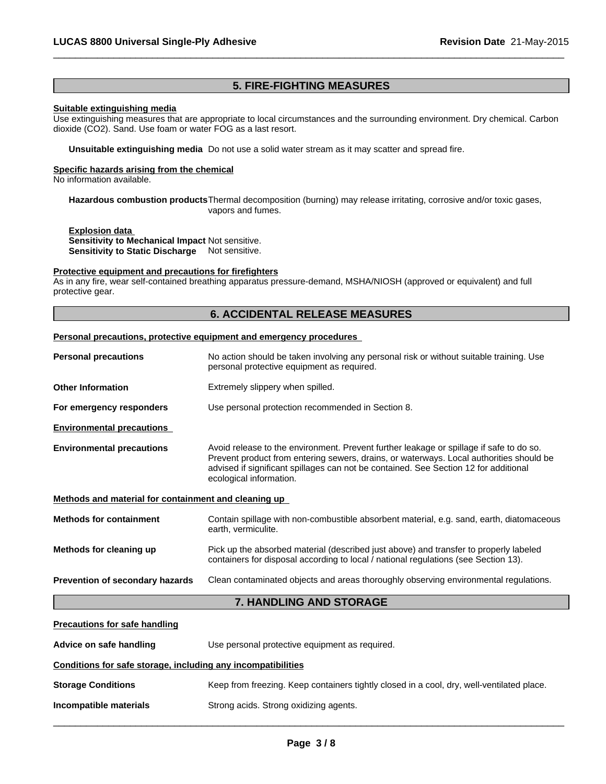## **5. FIRE-FIGHTING MEASURES**

 $\overline{\phantom{a}}$  ,  $\overline{\phantom{a}}$  ,  $\overline{\phantom{a}}$  ,  $\overline{\phantom{a}}$  ,  $\overline{\phantom{a}}$  ,  $\overline{\phantom{a}}$  ,  $\overline{\phantom{a}}$  ,  $\overline{\phantom{a}}$  ,  $\overline{\phantom{a}}$  ,  $\overline{\phantom{a}}$  ,  $\overline{\phantom{a}}$  ,  $\overline{\phantom{a}}$  ,  $\overline{\phantom{a}}$  ,  $\overline{\phantom{a}}$  ,  $\overline{\phantom{a}}$  ,  $\overline{\phantom{a}}$ 

## **Suitable extinguishing media**

Use extinguishing measures that are appropriate to local circumstances and the surrounding environment. Dry chemical. Carbon dioxide (CO2). Sand. Use foam or water FOG as a last resort.

**Unsuitable extinguishing media** Do not use a solid water stream as it may scatter and spread fire.

## **Specific hazards arising from the chemical**

No information available.

**Hazardous combustion products**Thermal decomposition (burning) may release irritating, corrosive and/or toxic gases, vapors and fumes.

**Explosion data Sensitivity to Mechanical Impact** Not sensitive. **Sensitivity to Static Discharge** Not sensitive.

## **Protective equipment and precautions for firefighters**

As in any fire, wear self-contained breathing apparatus pressure-demand, MSHA/NIOSH (approved or equivalent) and full protective gear.

## **6. ACCIDENTAL RELEASE MEASURES**

## **Personal precautions, protective equipment and emergency procedures**

| <b>Personal precautions</b>                                  | No action should be taken involving any personal risk or without suitable training. Use<br>personal protective equipment as required.                                                                                                                                                                 |  |  |
|--------------------------------------------------------------|-------------------------------------------------------------------------------------------------------------------------------------------------------------------------------------------------------------------------------------------------------------------------------------------------------|--|--|
| <b>Other Information</b>                                     | Extremely slippery when spilled.                                                                                                                                                                                                                                                                      |  |  |
| For emergency responders                                     | Use personal protection recommended in Section 8.                                                                                                                                                                                                                                                     |  |  |
| <b>Environmental precautions</b>                             |                                                                                                                                                                                                                                                                                                       |  |  |
| <b>Environmental precautions</b>                             | Avoid release to the environment. Prevent further leakage or spillage if safe to do so.<br>Prevent product from entering sewers, drains, or waterways. Local authorities should be<br>advised if significant spillages can not be contained. See Section 12 for additional<br>ecological information. |  |  |
| Methods and material for containment and cleaning up         |                                                                                                                                                                                                                                                                                                       |  |  |
| <b>Methods for containment</b>                               | Contain spillage with non-combustible absorbent material, e.g. sand, earth, diatomaceous<br>earth, vermiculite.                                                                                                                                                                                       |  |  |
| Methods for cleaning up                                      | Pick up the absorbed material (described just above) and transfer to properly labeled<br>containers for disposal according to local / national regulations (see Section 13).                                                                                                                          |  |  |
| Prevention of secondary hazards                              | Clean contaminated objects and areas thoroughly observing environmental regulations.                                                                                                                                                                                                                  |  |  |
| <b>7. HANDLING AND STORAGE</b>                               |                                                                                                                                                                                                                                                                                                       |  |  |
| <b>Precautions for safe handling</b>                         |                                                                                                                                                                                                                                                                                                       |  |  |
| Advice on safe handling                                      | Use personal protective equipment as required.                                                                                                                                                                                                                                                        |  |  |
| Conditions for safe storage, including any incompatibilities |                                                                                                                                                                                                                                                                                                       |  |  |
| <b>Storage Conditions</b>                                    | Keep from freezing. Keep containers tightly closed in a cool, dry, well-ventilated place.                                                                                                                                                                                                             |  |  |
| Incompatible materials                                       | Strong acids. Strong oxidizing agents.                                                                                                                                                                                                                                                                |  |  |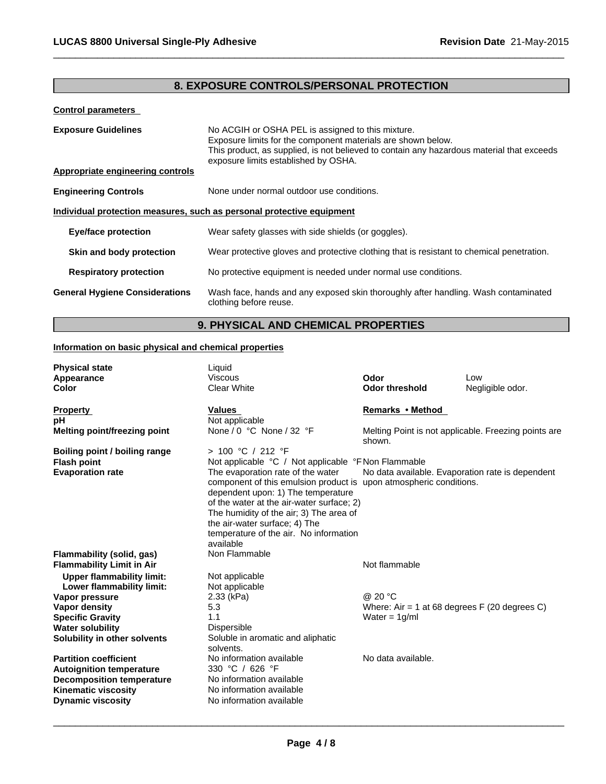## **8. EXPOSURE CONTROLS/PERSONAL PROTECTION**

 $\overline{\phantom{a}}$  ,  $\overline{\phantom{a}}$  ,  $\overline{\phantom{a}}$  ,  $\overline{\phantom{a}}$  ,  $\overline{\phantom{a}}$  ,  $\overline{\phantom{a}}$  ,  $\overline{\phantom{a}}$  ,  $\overline{\phantom{a}}$  ,  $\overline{\phantom{a}}$  ,  $\overline{\phantom{a}}$  ,  $\overline{\phantom{a}}$  ,  $\overline{\phantom{a}}$  ,  $\overline{\phantom{a}}$  ,  $\overline{\phantom{a}}$  ,  $\overline{\phantom{a}}$  ,  $\overline{\phantom{a}}$ 

## **Control parameters**

| <b>Exposure Guidelines</b>                                            | No ACGIH or OSHA PEL is assigned to this mixture.<br>Exposure limits for the component materials are shown below.<br>This product, as supplied, is not believed to contain any hazardous material that exceeds<br>exposure limits established by OSHA. |  |  |
|-----------------------------------------------------------------------|--------------------------------------------------------------------------------------------------------------------------------------------------------------------------------------------------------------------------------------------------------|--|--|
| Appropriate engineering controls                                      |                                                                                                                                                                                                                                                        |  |  |
| <b>Engineering Controls</b>                                           | None under normal outdoor use conditions.                                                                                                                                                                                                              |  |  |
| Individual protection measures, such as personal protective equipment |                                                                                                                                                                                                                                                        |  |  |
| <b>Eye/face protection</b>                                            | Wear safety glasses with side shields (or goggles).                                                                                                                                                                                                    |  |  |
| Skin and body protection                                              | Wear protective gloves and protective clothing that is resistant to chemical penetration.                                                                                                                                                              |  |  |
| <b>Respiratory protection</b>                                         | No protective equipment is needed under normal use conditions.                                                                                                                                                                                         |  |  |
| <b>General Hygiene Considerations</b>                                 | Wash face, hands and any exposed skin thoroughly after handling. Wash contaminated<br>clothing before reuse.                                                                                                                                           |  |  |

## **9. PHYSICAL AND CHEMICAL PROPERTIES**

## **Information on basic physical and chemical properties**

| <b>Physical state</b><br>Appearance<br><b>Color</b> | Liquid<br><b>Viscous</b><br><b>Clear White</b>                                                                                                                                             | Odor<br><b>Odor threshold</b>                                  | Low<br>Negligible odor. |
|-----------------------------------------------------|--------------------------------------------------------------------------------------------------------------------------------------------------------------------------------------------|----------------------------------------------------------------|-------------------------|
| <b>Property</b>                                     | Values                                                                                                                                                                                     | Remarks • Method                                               |                         |
| pH                                                  | Not applicable                                                                                                                                                                             |                                                                |                         |
| <b>Melting point/freezing point</b>                 | None / 0 $^{\circ}$ C None / 32 $^{\circ}$ F                                                                                                                                               | Melting Point is not applicable. Freezing points are<br>shown. |                         |
| Boiling point / boiling range                       | > 100 °C / 212 °F                                                                                                                                                                          |                                                                |                         |
| <b>Flash point</b>                                  | Not applicable °C / Not applicable °F Non Flammable                                                                                                                                        |                                                                |                         |
| <b>Evaporation rate</b>                             | The evaporation rate of the water<br>component of this emulsion product is upon atmospheric conditions.<br>dependent upon: 1) The temperature<br>of the water at the air-water surface; 2) | No data available. Evaporation rate is dependent               |                         |
|                                                     | The humidity of the air; 3) The area of                                                                                                                                                    |                                                                |                         |
|                                                     | the air-water surface; 4) The<br>temperature of the air. No information                                                                                                                    |                                                                |                         |
|                                                     | available                                                                                                                                                                                  |                                                                |                         |
| Flammability (solid, gas)                           | Non Flammable                                                                                                                                                                              |                                                                |                         |
| <b>Flammability Limit in Air</b>                    |                                                                                                                                                                                            | Not flammable                                                  |                         |
| <b>Upper flammability limit:</b>                    | Not applicable                                                                                                                                                                             |                                                                |                         |
| Lower flammability limit:                           | Not applicable                                                                                                                                                                             |                                                                |                         |
| Vapor pressure                                      | $2.33$ (kPa)                                                                                                                                                                               | @ 20 °C                                                        |                         |
| Vapor density                                       | 5.3                                                                                                                                                                                        | Where: Air = 1 at 68 degrees $F(20$ degrees C)                 |                         |
| <b>Specific Gravity</b>                             | 1.1                                                                                                                                                                                        | Water = $1g/ml$                                                |                         |
| <b>Water solubility</b>                             | Dispersible                                                                                                                                                                                |                                                                |                         |
| Solubility in other solvents                        | Soluble in aromatic and aliphatic<br>solvents.                                                                                                                                             |                                                                |                         |
| <b>Partition coefficient</b>                        | No information available                                                                                                                                                                   | No data available.                                             |                         |
| <b>Autoignition temperature</b>                     | 330 °C / 626 °F                                                                                                                                                                            |                                                                |                         |
| <b>Decomposition temperature</b>                    | No information available                                                                                                                                                                   |                                                                |                         |
| <b>Kinematic viscosity</b>                          | No information available                                                                                                                                                                   |                                                                |                         |
| <b>Dynamic viscosity</b>                            | No information available                                                                                                                                                                   |                                                                |                         |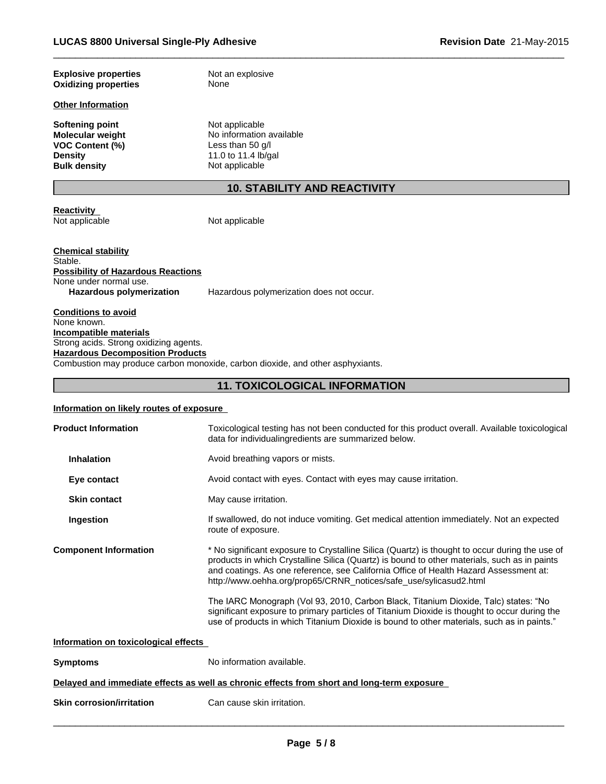| <b>Explosive properties</b> | Not an explosive |
|-----------------------------|------------------|
| <b>Oxidizing properties</b> | None             |

## **Other Information**

**Softening point** Not applicable<br> **Molecular weight** No information **VOC Content (%)**<br>Density **Density** 11.0 to 11.4 lb/gal<br> **Bulk density** Not applicable

No information available<br>Less than 50 g/l **Not applicable** 

## **10. STABILITY AND REACTIVITY**

 $\overline{\phantom{a}}$  ,  $\overline{\phantom{a}}$  ,  $\overline{\phantom{a}}$  ,  $\overline{\phantom{a}}$  ,  $\overline{\phantom{a}}$  ,  $\overline{\phantom{a}}$  ,  $\overline{\phantom{a}}$  ,  $\overline{\phantom{a}}$  ,  $\overline{\phantom{a}}$  ,  $\overline{\phantom{a}}$  ,  $\overline{\phantom{a}}$  ,  $\overline{\phantom{a}}$  ,  $\overline{\phantom{a}}$  ,  $\overline{\phantom{a}}$  ,  $\overline{\phantom{a}}$  ,  $\overline{\phantom{a}}$ 

**Reactivity**  Not applicable

Not applicable

**Chemical stability** Stable. **Possibility of Hazardous Reactions** None under normal use. **Hazardous polymerization** Hazardous polymerization does not occur.

**Conditions to avoid** None known. **Incompatible materials** Strong acids. Strong oxidizing agents. **Hazardous Decomposition Products** Combustion may produce carbon monoxide, carbon dioxide, and other asphyxiants.

## **11. TOXICOLOGICAL INFORMATION**

## **Information on likely routes of exposure**

| <b>Product Information</b>           | Toxicological testing has not been conducted for this product overall. Available toxicological<br>data for individualingredients are summarized below.                                                                                                                                                                                                       |
|--------------------------------------|--------------------------------------------------------------------------------------------------------------------------------------------------------------------------------------------------------------------------------------------------------------------------------------------------------------------------------------------------------------|
| <b>Inhalation</b>                    | Avoid breathing vapors or mists.                                                                                                                                                                                                                                                                                                                             |
| Eye contact                          | Avoid contact with eyes. Contact with eyes may cause irritation.                                                                                                                                                                                                                                                                                             |
| <b>Skin contact</b>                  | May cause irritation.                                                                                                                                                                                                                                                                                                                                        |
| Ingestion                            | If swallowed, do not induce vomiting. Get medical attention immediately. Not an expected<br>route of exposure.                                                                                                                                                                                                                                               |
| <b>Component Information</b>         | * No significant exposure to Crystalline Silica (Quartz) is thought to occur during the use of<br>products in which Crystalline Silica (Quartz) is bound to other materials, such as in paints<br>and coatings. As one reference, see California Office of Health Hazard Assessment at:<br>http://www.oehha.org/prop65/CRNR_notices/safe_use/sylicasud2.html |
|                                      | The IARC Monograph (Vol 93, 2010, Carbon Black, Titanium Dioxide, Talc) states: "No<br>significant exposure to primary particles of Titanium Dioxide is thought to occur during the<br>use of products in which Titanium Dioxide is bound to other materials, such as in paints."                                                                            |
| Information on toxicological effects |                                                                                                                                                                                                                                                                                                                                                              |
| <b>Symptoms</b>                      | No information available.                                                                                                                                                                                                                                                                                                                                    |
|                                      | Delayed and immediate effects as well as chronic effects from short and long-term exposure                                                                                                                                                                                                                                                                   |
| <b>Skin corrosion/irritation</b>     | Can cause skin irritation.                                                                                                                                                                                                                                                                                                                                   |
|                                      |                                                                                                                                                                                                                                                                                                                                                              |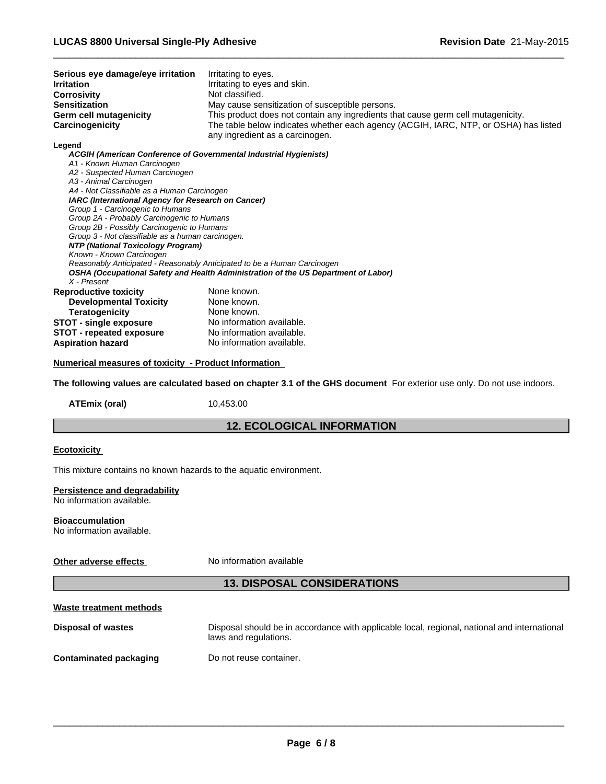| Serious eye damage/eye irritation<br><b>Irritation</b><br><b>Corrosivity</b>                      | Irritating to eyes.                                                                                                     |
|---------------------------------------------------------------------------------------------------|-------------------------------------------------------------------------------------------------------------------------|
|                                                                                                   | Irritating to eyes and skin.                                                                                            |
|                                                                                                   | Not classified.                                                                                                         |
| <b>Sensitization</b>                                                                              | May cause sensitization of susceptible persons.                                                                         |
| <b>Germ cell mutagenicity</b>                                                                     | This product does not contain any ingredients that cause germ cell mutagenicity.                                        |
| Carcinogenicity                                                                                   | The table below indicates whether each agency (ACGIH, IARC, NTP, or OSHA) has listed                                    |
|                                                                                                   | any ingredient as a carcinogen.                                                                                         |
| Legend                                                                                            | ACGIH (American Conference of Governmental Industrial Hygienists)                                                       |
| A1 - Known Human Carcinogen                                                                       |                                                                                                                         |
| A2 - Suspected Human Carcinogen                                                                   |                                                                                                                         |
| A3 - Animal Carcinogen                                                                            |                                                                                                                         |
| A4 - Not Classifiable as a Human Carcinogen<br>IARC (International Agency for Research on Cancer) |                                                                                                                         |
| Group 1 - Carcinogenic to Humans                                                                  |                                                                                                                         |
| Group 2A - Probably Carcinogenic to Humans                                                        |                                                                                                                         |
| Group 2B - Possibly Carcinogenic to Humans                                                        |                                                                                                                         |
| Group 3 - Not classifiable as a human carcinogen.                                                 |                                                                                                                         |
| NTP (National Toxicology Program)<br>Known - Known Carcinogen                                     |                                                                                                                         |
|                                                                                                   | Reasonably Anticipated - Reasonably Anticipated to be a Human Carcinogen                                                |
|                                                                                                   | OSHA (Occupational Safety and Health Administration of the US Department of Labor)                                      |
| X - Present                                                                                       |                                                                                                                         |
| <b>Reproductive toxicity</b>                                                                      | None known.                                                                                                             |
| <b>Developmental Toxicity</b>                                                                     | None known.                                                                                                             |
| <b>Teratogenicity</b>                                                                             | None known.                                                                                                             |
| <b>STOT - single exposure</b>                                                                     | No information available.                                                                                               |
| <b>STOT - repeated exposure</b>                                                                   | No information available.                                                                                               |
|                                                                                                   | No information available.                                                                                               |
| Numerical measures of toxicity - Product Information                                              | The following values are calculated based on chapter 3.1 of the GHS document For exterior use only. Do not use indoors. |
| <b>ATEmix (oral)</b>                                                                              | 10,453.00                                                                                                               |
|                                                                                                   | <b>12. ECOLOGICAL INFORMATION</b>                                                                                       |
| <b>Aspiration hazard</b>                                                                          |                                                                                                                         |
| <b>Ecotoxicity</b>                                                                                |                                                                                                                         |
| This mixture contains no known hazards to the aquatic environment.                                |                                                                                                                         |
| Persistence and degradability                                                                     |                                                                                                                         |
| No information available.                                                                         |                                                                                                                         |
|                                                                                                   |                                                                                                                         |
| <b>Bioaccumulation</b>                                                                            |                                                                                                                         |
| No information available.                                                                         |                                                                                                                         |
|                                                                                                   |                                                                                                                         |
| Other adverse effects                                                                             | No information available                                                                                                |
|                                                                                                   | <b>13. DISPOSAL CONSIDERATIONS</b>                                                                                      |
| Waste treatment methods                                                                           |                                                                                                                         |
|                                                                                                   |                                                                                                                         |
| <b>Disposal of wastes</b>                                                                         | Disposal should be in accordance with applicable local, regional, national and international                            |
|                                                                                                   | laws and regulations.                                                                                                   |
| <b>Contaminated packaging</b>                                                                     | Do not reuse container.                                                                                                 |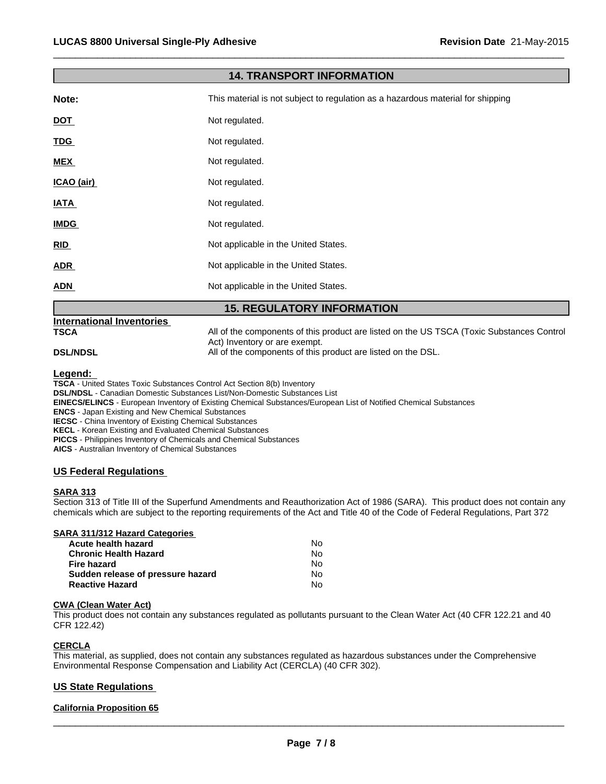| <b>14. TRANSPORT INFORMATION</b> |                                                                                                                            |  |
|----------------------------------|----------------------------------------------------------------------------------------------------------------------------|--|
| Note:                            | This material is not subject to regulation as a hazardous material for shipping                                            |  |
| <b>DOT</b>                       | Not regulated.                                                                                                             |  |
| <u>TDG</u>                       | Not regulated.                                                                                                             |  |
| <b>MEX</b>                       | Not regulated.                                                                                                             |  |
| ICAO (air)                       | Not regulated.                                                                                                             |  |
| <b>IATA</b>                      | Not regulated.                                                                                                             |  |
| <b>IMDG</b>                      | Not regulated.                                                                                                             |  |
| RID                              | Not applicable in the United States.                                                                                       |  |
| <b>ADR</b>                       | Not applicable in the United States.                                                                                       |  |
| <b>ADN</b>                       | Not applicable in the United States.                                                                                       |  |
|                                  | <b>15. REGULATORY INFORMATION</b>                                                                                          |  |
| <b>International Inventories</b> |                                                                                                                            |  |
| <b>TSCA</b>                      | All of the components of this product are listed on the US TSCA (Toxic Substances Control<br>Act) Inventory or are exempt. |  |
| <b>DSL/NDSL</b>                  | All of the components of this product are listed on the DSL.                                                               |  |

 $\overline{\phantom{a}}$  ,  $\overline{\phantom{a}}$  ,  $\overline{\phantom{a}}$  ,  $\overline{\phantom{a}}$  ,  $\overline{\phantom{a}}$  ,  $\overline{\phantom{a}}$  ,  $\overline{\phantom{a}}$  ,  $\overline{\phantom{a}}$  ,  $\overline{\phantom{a}}$  ,  $\overline{\phantom{a}}$  ,  $\overline{\phantom{a}}$  ,  $\overline{\phantom{a}}$  ,  $\overline{\phantom{a}}$  ,  $\overline{\phantom{a}}$  ,  $\overline{\phantom{a}}$  ,  $\overline{\phantom{a}}$ 

**Legend:** 

**TSCA** - United States Toxic Substances Control Act Section 8(b) Inventory **DSL/NDSL** - Canadian Domestic Substances List/Non-Domestic Substances List **EINECS/ELINCS** - European Inventory of Existing Chemical Substances/European List of Notified Chemical Substances

**ENCS** - Japan Existing and New Chemical Substances **IECSC** - China Inventory of Existing Chemical Substances

**KECL** - Korean Existing and Evaluated Chemical Substances

**PICCS** - Philippines Inventory of Chemicals and Chemical Substances

**AICS** - Australian Inventory of Chemical Substances

## **US Federal Regulations**

## **SARA 313**

Section 313 of Title III of the Superfund Amendments and Reauthorization Act of 1986 (SARA). This product does not contain any chemicals which are subject to the reporting requirements of the Act and Title 40 of the Code of Federal Regulations, Part 372

## **SARA 311/312 Hazard Categories**

| Acute health hazard               | No. |  |
|-----------------------------------|-----|--|
| Chronic Health Hazard             | No. |  |
| Fire hazard                       | N٥  |  |
| Sudden release of pressure hazard | No. |  |
| <b>Reactive Hazard</b>            | No. |  |

## **CWA (Clean Water Act)**

This product does not contain any substances regulated as pollutants pursuant to the Clean Water Act (40 CFR 122.21 and 40 CFR 122.42)

## **CERCLA**

This material, as supplied, does not contain any substances regulated as hazardous substances under the Comprehensive Environmental Response Compensation and Liability Act (CERCLA) (40 CFR 302).

## **US State Regulations**

## **California Proposition 65**